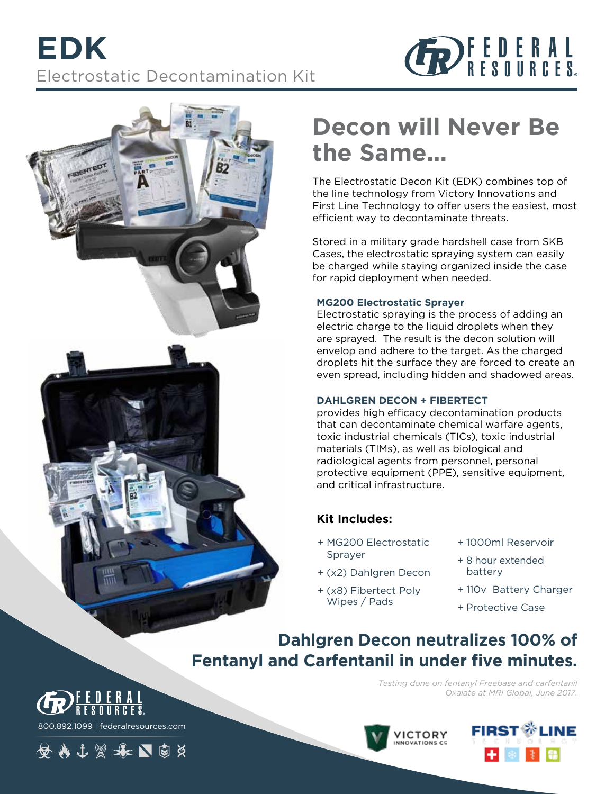





# **Decon will Never Be the Same…**

The Electrostatic Decon Kit (EDK) combines top of the line technology from Victory Innovations and First Line Technology to offer users the easiest, most efficient way to decontaminate threats.

Stored in a military grade hardshell case from SKB Cases, the electrostatic spraying system can easily be charged while staying organized inside the case for rapid deployment when needed.

#### **MG200 Electrostatic Sprayer**

Electrostatic spraying is the process of adding an electric charge to the liquid droplets when they are sprayed. The result is the decon solution will envelop and adhere to the target. As the charged droplets hit the surface they are forced to create an even spread, including hidden and shadowed areas.

### **DAHLGREN DECON + FIBERTECT**

provides high efficacy decontamination products that can decontaminate chemical warfare agents, toxic industrial chemicals (TICs), toxic industrial materials (TIMs), as well as biological and radiological agents from personnel, personal protective equipment (PPE), sensitive equipment, and critical infrastructure.

## **Kit Includes:**

- + MG200 Electrostatic Sprayer
- + (x2) Dahlgren Decon
- + (x8) Fibertect Poly Wipes / Pads
- + 1000ml Reservoir
- + 8 hour extended battery
- + 110v Battery Charger
- + Protective Case

## **Dahlgren Decon neutralizes 100% of Fentanyl and Carfentanil in under five minutes.**

*Testing done on fentanyl Freebase and carfentanil Oxalate at MRI Global, June 2017.*



800.892.1099 | federalresources.com